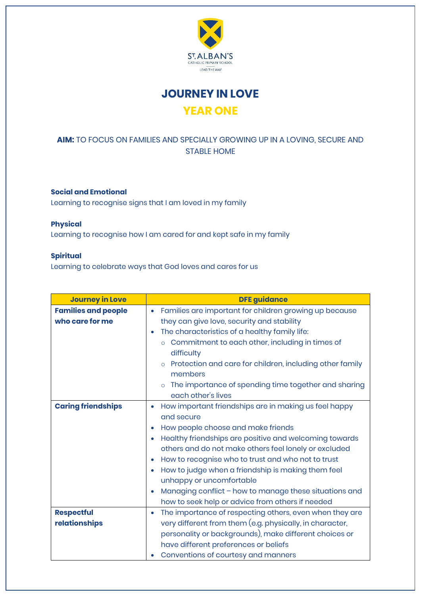

**JOURNEY IN LOVE YEAR ONE**

## **AIM:** TO FOCUS ON FAMILIES AND SPECIALLY GROWING UP IN A LOVING, SECURE AND STABLE HOME

**Social and Emotional**

Learning to recognise signs that I am loved in my family

## **Physical**

Learning to recognise how I am cared for and kept safe in my family

## **Spiritual**

Learning to celebrate ways that God loves and cares for us

| <b>Journey in Love</b>     | <b>DFE guidance</b>                                                            |
|----------------------------|--------------------------------------------------------------------------------|
| <b>Families and people</b> | Families are important for children growing up because<br>$\bullet$            |
| who care for me            | they can give love, security and stability                                     |
|                            | The characteristics of a healthy family life:<br>$\bullet$                     |
|                            | o Commitment to each other, including in times of<br>difficulty                |
|                            | Protection and care for children, including other family<br>$\circ$<br>members |
|                            | The importance of spending time together and sharing<br>$\circ$                |
|                            | each other's lives                                                             |
| <b>Caring friendships</b>  | How important friendships are in making us feel happy<br>$\bullet$             |
|                            | and secure                                                                     |
|                            | How people choose and make friends                                             |
|                            | Healthy friendships are positive and welcoming towards<br>$\bullet$            |
|                            | others and do not make others feel lonely or excluded                          |
|                            | How to recognise who to trust and who not to trust<br>$\bullet$                |
|                            | How to judge when a friendship is making them feel<br>$\bullet$                |
|                            | unhappy or uncomfortable                                                       |
|                            | Managing conflict - how to manage these situations and<br>$\bullet$            |
|                            | how to seek help or advice from others if needed                               |
| <b>Respectful</b>          | The importance of respecting others, even when they are<br>$\bullet$           |
| relationships              | very different from them (e.g. physically, in character,                       |
|                            | personality or backgrounds), make different choices or                         |
|                            | have different preferences or beliefs                                          |
|                            | Conventions of courtesy and manners                                            |